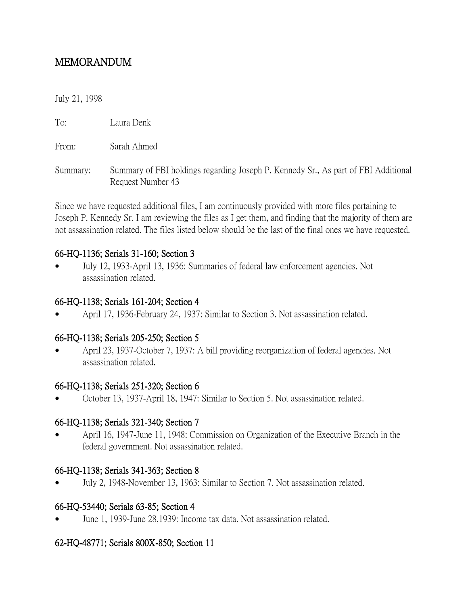# MEMORANDUM

July 21, 1998

To: Laura Denk

From: Sarah Ahmed

Summary: Summary of FBI holdings regarding Joseph P. Kennedy Sr., As part of FBI Additional Request Number 43

Since we have requested additional files, I am continuously provided with more files pertaining to Joseph P. Kennedy Sr. I am reviewing the files as I get them, and finding that the majority of them are not assassination related. The files listed below should be the last of the final ones we have requested.

#### 66-HQ-1136; Serials 31-160; Section 3

 July 12, 1933-April 13, 1936: Summaries of federal law enforcement agencies. Not assassination related.

### 66-HQ-1138; Serials 161-204; Section 4

April 17, 1936-February 24, 1937: Similar to Section 3. Not assassination related.

## 66-HQ-1138; Serials 205-250; Section 5

 April 23, 1937-October 7, 1937: A bill providing reorganization of federal agencies. Not assassination related.

#### 66-HQ-1138; Serials 251-320; Section 6

October 13, 1937-April 18, 1947: Similar to Section 5. Not assassination related.

#### 66-HQ-1138; Serials 321-340; Section 7

 April 16, 1947-June 11, 1948: Commission on Organization of the Executive Branch in the federal government. Not assassination related.

#### 66-HQ-1138; Serials 341-363; Section 8

July 2, 1948-November 13, 1963: Similar to Section 7. Not assassination related.

## 66-HQ-53440; Serials 63-85; Section 4

June 1, 1939-June 28,1939: Income tax data. Not assassination related.

## 62-HQ-48771; Serials 800X-850; Section 11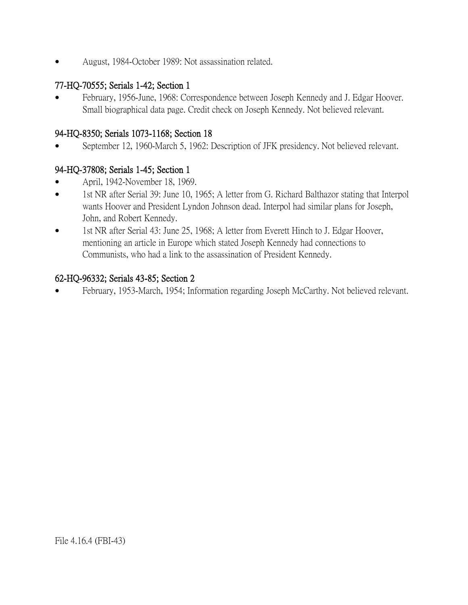August, 1984-October 1989: Not assassination related.

## 77-HQ-70555; Serials 1-42; Section 1

 February, 1956-June, 1968: Correspondence between Joseph Kennedy and J. Edgar Hoover. Small biographical data page. Credit check on Joseph Kennedy. Not believed relevant.

#### 94-HQ-8350; Serials 1073-1168; Section 18

September 12, 1960-March 5, 1962: Description of JFK presidency. Not believed relevant.

## 94-HQ-37808; Serials 1-45; Section 1

- April, 1942-November 18, 1969.
- 1st NR after Serial 39: June 10, 1965; A letter from G. Richard Balthazor stating that Interpol wants Hoover and President Lyndon Johnson dead. Interpol had similar plans for Joseph, John, and Robert Kennedy.
- 1st NR after Serial 43: June 25, 1968; A letter from Everett Hinch to J. Edgar Hoover, mentioning an article in Europe which stated Joseph Kennedy had connections to Communists, who had a link to the assassination of President Kennedy.

#### 62-HQ-96332; Serials 43-85; Section 2

February, 1953-March, 1954; Information regarding Joseph McCarthy. Not believed relevant.